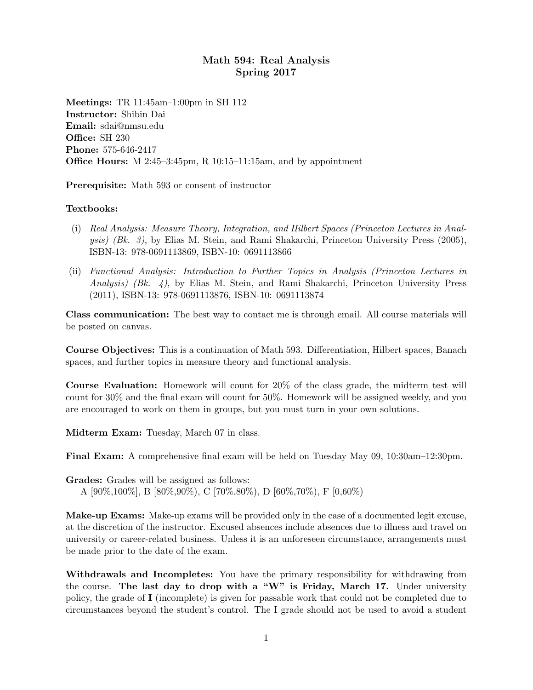## Math 594: Real Analysis Spring 2017

Meetings: TR 11:45am–1:00pm in SH 112 Instructor: Shibin Dai Email: sdai@nmsu.edu Office: SH 230 Phone: 575-646-2417 Office Hours: M 2:45–3:45pm, R 10:15–11:15am, and by appointment

Prerequisite: Math 593 or consent of instructor

## Textbooks:

- (i) Real Analysis: Measure Theory, Integration, and Hilbert Spaces (Princeton Lectures in Analysis) (Bk. 3), by Elias M. Stein, and Rami Shakarchi, Princeton University Press (2005), ISBN-13: 978-0691113869, ISBN-10: 0691113866
- (ii) Functional Analysis: Introduction to Further Topics in Analysis (Princeton Lectures in Analysis) (Bk.  $\downarrow$ ), by Elias M. Stein, and Rami Shakarchi, Princeton University Press (2011), ISBN-13: 978-0691113876, ISBN-10: 0691113874

Class communication: The best way to contact me is through email. All course materials will be posted on canvas.

Course Objectives: This is a continuation of Math 593. Differentiation, Hilbert spaces, Banach spaces, and further topics in measure theory and functional analysis.

Course Evaluation: Homework will count for 20% of the class grade, the midterm test will count for 30% and the final exam will count for 50%. Homework will be assigned weekly, and you are encouraged to work on them in groups, but you must turn in your own solutions.

Midterm Exam: Tuesday, March 07 in class.

Final Exam: A comprehensive final exam will be held on Tuesday May 09, 10:30am–12:30pm.

Grades: Grades will be assigned as follows: A  $[90\%, 100\%]$ , B  $[80\%, 90\%]$ , C  $[70\%, 80\%]$ , D  $[60\%, 70\%]$ , F  $[0.60\%]$ 

Make-up Exams: Make-up exams will be provided only in the case of a documented legit excuse, at the discretion of the instructor. Excused absences include absences due to illness and travel on university or career-related business. Unless it is an unforeseen circumstance, arrangements must be made prior to the date of the exam.

Withdrawals and Incompletes: You have the primary responsibility for withdrawing from the course. The last day to drop with a "W" is Friday, March 17. Under university policy, the grade of I (incomplete) is given for passable work that could not be completed due to circumstances beyond the student's control. The I grade should not be used to avoid a student